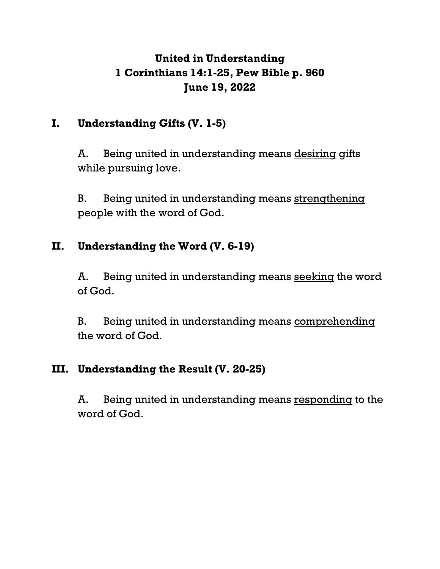# **United in Understanding 1 Corinthians 14:1-25, Pew Bible p. 960 June 19, 2022**

# **I. Understanding Gifts (V. 1-5)**

A. Being united in understanding means desiring gifts while pursuing love.

B. Being united in understanding means strengthening people with the word of God.

# **II. Understanding the Word (V. 6-19)**

A. Being united in understanding means seeking the word of God.

B. Being united in understanding means comprehending the word of God.

# **III. Understanding the Result (V. 20-25)**

A. Being united in understanding means responding to the word of God.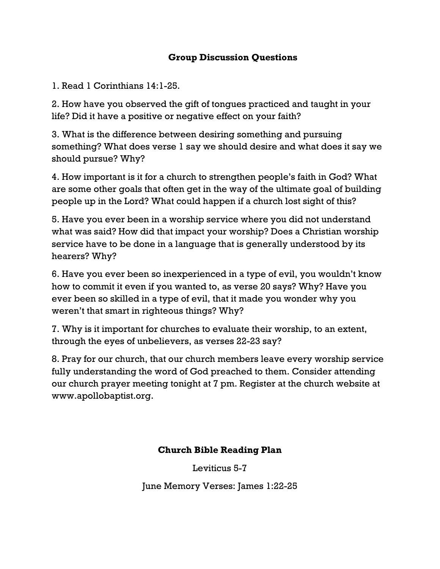## **Group Discussion Questions**

1. Read 1 Corinthians 14:1-25.

2. How have you observed the gift of tongues practiced and taught in your life? Did it have a positive or negative effect on your faith?

3. What is the difference between desiring something and pursuing something? What does verse 1 say we should desire and what does it say we should pursue? Why?

4. How important is it for a church to strengthen people's faith in God? What are some other goals that often get in the way of the ultimate goal of building people up in the Lord? What could happen if a church lost sight of this?

5. Have you ever been in a worship service where you did not understand what was said? How did that impact your worship? Does a Christian worship service have to be done in a language that is generally understood by its hearers? Why?

6. Have you ever been so inexperienced in a type of evil, you wouldn't know how to commit it even if you wanted to, as verse 20 says? Why? Have you ever been so skilled in a type of evil, that it made you wonder why you weren't that smart in righteous things? Why?

7. Why is it important for churches to evaluate their worship, to an extent, through the eyes of unbelievers, as verses 22-23 say?

8. Pray for our church, that our church members leave every worship service fully understanding the word of God preached to them. Consider attending our church prayer meeting tonight at 7 pm. Register at the church website at www.apollobaptist.org.

### **Church Bible Reading Plan**

Leviticus 5-7

June Memory Verses: James 1:22-25